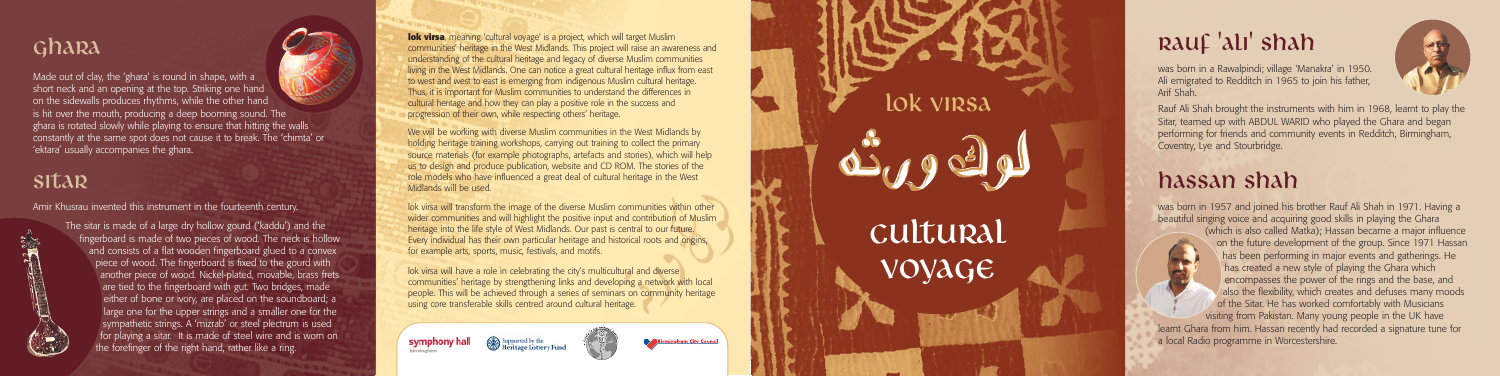was born in a Rawalpindi; village 'Manakra' in 1950. Ali emigrated to Redditch in 1965 to join his father, Arif Shah.



Rauf Ali Shah brought the instruments with him in 1968, learnt to play the Sitar, teamed up with ABDUL WARID who played the Ghara and began performing for friends and community events in Redditch, Birmingham, Coventry, Lye and Stourbridge.

### hassan shah

was born in 1957 and joined his brother Rauf Ali Shah in 1971. Having a beautiful singing voice and acquiring good skills in playing the Ghara (which is also called Matka); Hassan became a major influence on the future development of the group. Since 1971 Hassan has been performing in major events and gatherings. He has created a new style of playing the Ghara which encompasses the power of the rings and the base, and also the flexibility, which creates and defuses many moods of the Sitar. He has worked comfortably with Musicians visiting from Pakistan. Many young people in the UK have learnt Ghara from him. Hassan recently had recorded a signature tune for a local Radio programme in Worcestershire.

#### Ghara

Made out of clay, the 'ghara' is round in shape, with a short neck and an opening at the top. Striking one hand on the sidewalls produces rhythms, while the other hand is hit over the mouth, producing a deep booming sound. The ghara is rotated slowly while playing to ensure that hitting the walls constantly at the same spot does not cause it to break. The 'chimta' or 'ektara' usually accompanies the ghara.

**lok virsa**, meaning 'cultural voyage' is a project, which will target Muslim communities' heritage in the West Midlands. This project will raise an awareness and understanding of the cultural heritage and legacy of diverse Muslim communities living in the West Midlands. One can notice a great cultural heritage influx from east to west and west to east is emerging from indigenous Muslim cultural heritage. Thus, it is important for Muslim communities to understand the differences in cultural heritage and how they can play a positive role in the success and progression of their own, while respecting others' heritage.

#### Sitar

Amir Khusrau invented this instrument in the fourteenth century.



The sitar is made of a large dry hollow gourd ('kaddu') and the fingerboard is made of two pieces of wood. The neck is hollow and consists of a flat wooden fingerboard glued to a convex piece of wood. The fingerboard is fixed to the gourd with another piece of wood. Nickel-plated, movable, brass frets are tied to the fingerboard with gut. Two bridges, made either of bone or ivory, are placed on the soundboard; a large one for the upper strings and a smaller one for the sympathetic strings. A 'mizrab' or steel plectrum is used for playing a sitar. It is made of steel wire and is worn on the forefinger of the right hand, rather like a ring.

# Cultural lok virsa<br>US el<br>Cultura<br>VOYAGE

## RAUF 'ali' shah

We will be working with diverse Muslim communities in the West Midlands by holding heritage training workshops, carrying out training to collect the primary source materials (for example photographs, artefacts and stories), which will help us to design and produce publication, website and CD ROM. The stories of the role models who have influenced a great deal of cultural heritage in the West Midlands will be used.

lok virsa will transform the image of the diverse Muslim communities within other wider communities and will highlight the positive input and contribution of Muslim heritage into the life style of West Midlands. Our past is central to our future. Every individual has their own particular heritage and historical roots and origins, for example arts, sports, music, festivals, and motifs.

lok virsa will have a role in celebrating the city's multicultural and diverse communities' heritage by strengthening links and developing a network with local people. This will be achieved through a series of seminars on community heritage using core transferable skills centred around cultural heritage.

**Go<sup>7</sup> Heritage Lottery Fund** 

symphony hall

**Birmingham City Council**